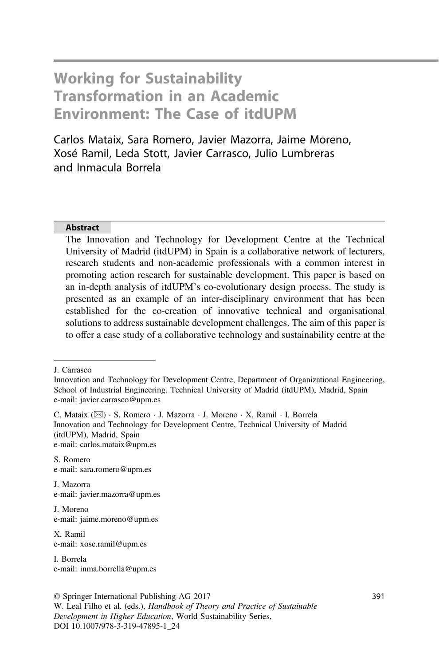# Working for Sustainability Transformation in an Academic Environment: The Case of itdUPM

Carlos Mataix, Sara Romero, Javier Mazorra, Jaime Moreno, Xosé Ramil, Leda Stott, Javier Carrasco, Julio Lumbreras and Inmacula Borrela

## Abstract

The Innovation and Technology for Development Centre at the Technical University of Madrid (itdUPM) in Spain is a collaborative network of lecturers, research students and non-academic professionals with a common interest in promoting action research for sustainable development. This paper is based on an in-depth analysis of itdUPM's co-evolutionary design process. The study is presented as an example of an inter-disciplinary environment that has been established for the co-creation of innovative technical and organisational solutions to address sustainable development challenges. The aim of this paper is to offer a case study of a collaborative technology and sustainability centre at the

J. Carrasco

C. Mataix ( $\boxtimes$ ) · S. Romero · J. Mazorra · J. Moreno · X. Ramil · I. Borrela Innovation and Technology for Development Centre, Technical University of Madrid (itdUPM), Madrid, Spain e-mail: carlos.mataix@upm.es

S. Romero e-mail: sara.romero@upm.es

J. Mazorra e-mail: javier.mazorra@upm.es

J. Moreno e-mail: jaime.moreno@upm.es

X. Ramil e-mail: xose.ramil@upm.es

I. Borrela e-mail: inma.borrella@upm.es

© Springer International Publishing AG 2017 W. Leal Filho et al. (eds.), Handbook of Theory and Practice of Sustainable Development in Higher Education, World Sustainability Series, DOI 10.1007/978-3-319-47895-1\_24

391

Innovation and Technology for Development Centre, Department of Organizational Engineering, School of Industrial Engineering, Technical University of Madrid (itdUPM), Madrid, Spain e-mail: javier.carrasco@upm.es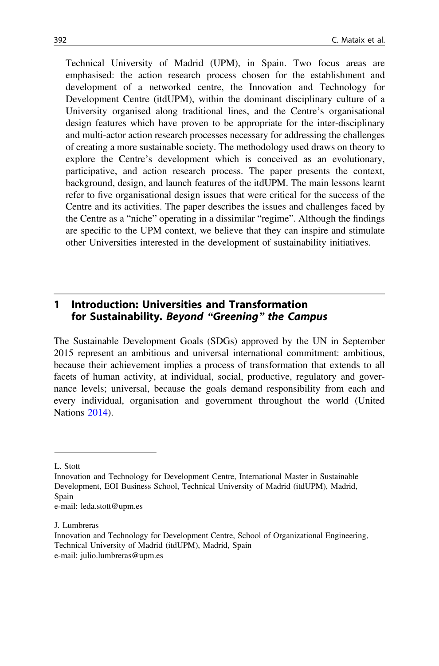Technical University of Madrid (UPM), in Spain. Two focus areas are emphasised: the action research process chosen for the establishment and development of a networked centre, the Innovation and Technology for Development Centre (itdUPM), within the dominant disciplinary culture of a University organised along traditional lines, and the Centre's organisational design features which have proven to be appropriate for the inter-disciplinary and multi-actor action research processes necessary for addressing the challenges of creating a more sustainable society. The methodology used draws on theory to explore the Centre's development which is conceived as an evolutionary, participative, and action research process. The paper presents the context, background, design, and launch features of the itdUPM. The main lessons learnt refer to five organisational design issues that were critical for the success of the Centre and its activities. The paper describes the issues and challenges faced by the Centre as a "niche" operating in a dissimilar "regime". Although the findings are specific to the UPM context, we believe that they can inspire and stimulate other Universities interested in the development of sustainability initiatives.

# 1 Introduction: Universities and Transformation for Sustainability. Beyond "Greening" the Campus

The Sustainable Development Goals (SDGs) approved by the UN in September 2015 represent an ambitious and universal international commitment: ambitious, because their achievement implies a process of transformation that extends to all facets of human activity, at individual, social, productive, regulatory and governance levels; universal, because the goals demand responsibility from each and every individual, organisation and government throughout the world (United Nations [2014\)](#page-17-0).

J. Lumbreras

L. Stott

Innovation and Technology for Development Centre, International Master in Sustainable Development, EOI Business School, Technical University of Madrid (itdUPM), Madrid, Spain

e-mail: leda.stott@upm.es

Innovation and Technology for Development Centre, School of Organizational Engineering, Technical University of Madrid (itdUPM), Madrid, Spain e-mail: julio.lumbreras@upm.es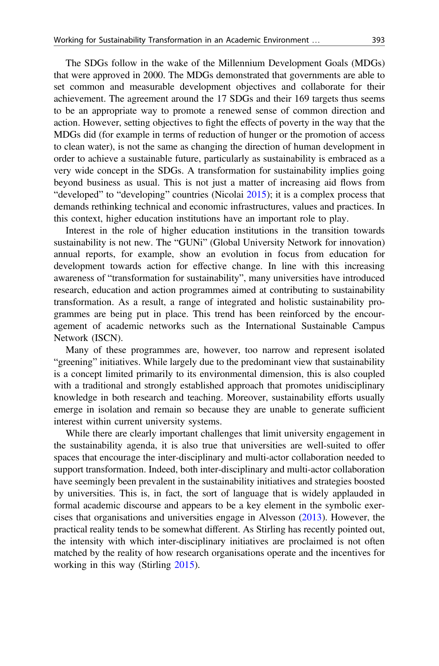The SDGs follow in the wake of the Millennium Development Goals (MDGs) that were approved in 2000. The MDGs demonstrated that governments are able to set common and measurable development objectives and collaborate for their achievement. The agreement around the 17 SDGs and their 169 targets thus seems to be an appropriate way to promote a renewed sense of common direction and action. However, setting objectives to fight the effects of poverty in the way that the MDGs did (for example in terms of reduction of hunger or the promotion of access to clean water), is not the same as changing the direction of human development in order to achieve a sustainable future, particularly as sustainability is embraced as a very wide concept in the SDGs. A transformation for sustainability implies going beyond business as usual. This is not just a matter of increasing aid flows from "developed" to "developing" countries (Nicolai [2015](#page-17-0)); it is a complex process that demands rethinking technical and economic infrastructures, values and practices. In this context, higher education institutions have an important role to play.

Interest in the role of higher education institutions in the transition towards sustainability is not new. The "GUNi" (Global University Network for innovation) annual reports, for example, show an evolution in focus from education for development towards action for effective change. In line with this increasing awareness of "transformation for sustainability", many universities have introduced research, education and action programmes aimed at contributing to sustainability transformation. As a result, a range of integrated and holistic sustainability programmes are being put in place. This trend has been reinforced by the encouragement of academic networks such as the International Sustainable Campus Network (ISCN).

Many of these programmes are, however, too narrow and represent isolated "greening" initiatives. While largely due to the predominant view that sustainability is a concept limited primarily to its environmental dimension, this is also coupled with a traditional and strongly established approach that promotes unidisciplinary knowledge in both research and teaching. Moreover, sustainability efforts usually emerge in isolation and remain so because they are unable to generate sufficient interest within current university systems.

While there are clearly important challenges that limit university engagement in the sustainability agenda, it is also true that universities are well-suited to offer spaces that encourage the inter-disciplinary and multi-actor collaboration needed to support transformation. Indeed, both inter-disciplinary and multi-actor collaboration have seemingly been prevalent in the sustainability initiatives and strategies boosted by universities. This is, in fact, the sort of language that is widely applauded in formal academic discourse and appears to be a key element in the symbolic exercises that organisations and universities engage in Alvesson [\(2013](#page-17-0)). However, the practical reality tends to be somewhat different. As Stirling has recently pointed out, the intensity with which inter-disciplinary initiatives are proclaimed is not often matched by the reality of how research organisations operate and the incentives for working in this way (Stirling [2015\)](#page-17-0).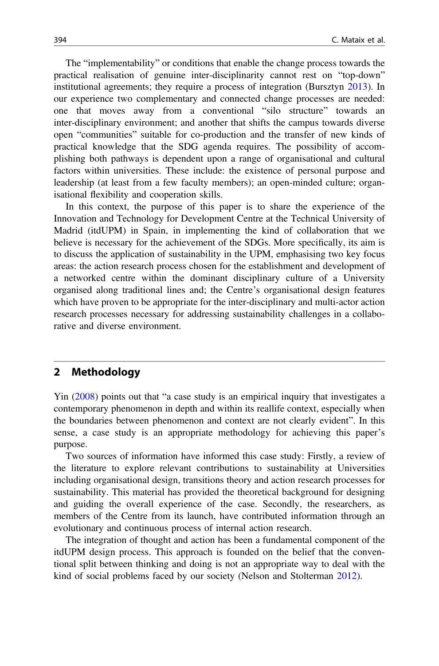The "implementability" or conditions that enable the change process towards the practical realisation of genuine inter-disciplinarity cannot rest on "top-down" institutional agreements; they require a process of integration (Bursztyn [2013](#page-17-0)). In our experience two complementary and connected change processes are needed: one that moves away from a conventional "silo structure" towards an inter-disciplinary environment; and another that shifts the campus towards diverse open "communities" suitable for co-production and the transfer of new kinds of practical knowledge that the SDG agenda requires. The possibility of accomplishing both pathways is dependent upon a range of organisational and cultural factors within universities. These include: the existence of personal purpose and leadership (at least from a few faculty members); an open-minded culture; organisational flexibility and cooperation skills.

In this context, the purpose of this paper is to share the experience of the Innovation and Technology for Development Centre at the Technical University of Madrid (itdUPM) in Spain, in implementing the kind of collaboration that we believe is necessary for the achievement of the SDGs. More specifically, its aim is to discuss the application of sustainability in the UPM, emphasising two key focus areas: the action research process chosen for the establishment and development of a networked centre within the dominant disciplinary culture of a University organised along traditional lines and; the Centre's organisational design features which have proven to be appropriate for the inter-disciplinary and multi-actor action research processes necessary for addressing sustainability challenges in a collaborative and diverse environment.

## 2 Methodology

Yin [\(2008](#page-17-0)) points out that "a case study is an empirical inquiry that investigates a contemporary phenomenon in depth and within its reallife context, especially when the boundaries between phenomenon and context are not clearly evident". In this sense, a case study is an appropriate methodology for achieving this paper's purpose.

Two sources of information have informed this case study: Firstly, a review of the literature to explore relevant contributions to sustainability at Universities including organisational design, transitions theory and action research processes for sustainability. This material has provided the theoretical background for designing and guiding the overall experience of the case. Secondly, the researchers, as members of the Centre from its launch, have contributed information through an evolutionary and continuous process of internal action research.

The integration of thought and action has been a fundamental component of the itdUPM design process. This approach is founded on the belief that the conventional split between thinking and doing is not an appropriate way to deal with the kind of social problems faced by our society (Nelson and Stolterman [2012](#page-17-0)).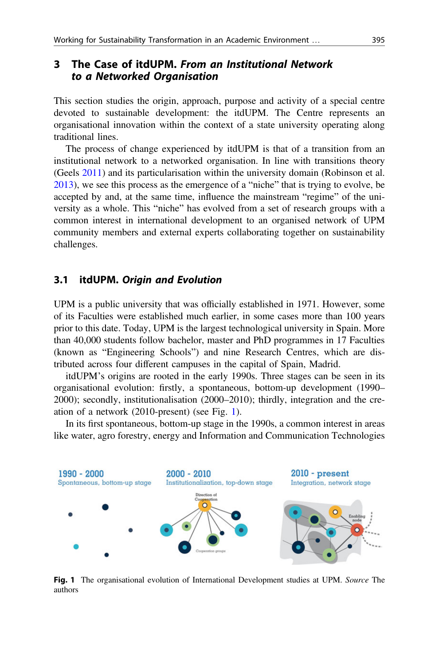# 3 The Case of itdUPM. From an Institutional Network to a Networked Organisation

This section studies the origin, approach, purpose and activity of a special centre devoted to sustainable development: the itdUPM. The Centre represents an organisational innovation within the context of a state university operating along traditional lines.

The process of change experienced by itdUPM is that of a transition from an institutional network to a networked organisation. In line with transitions theory (Geels [2011](#page-17-0)) and its particularisation within the university domain (Robinson et al. [2013\)](#page-17-0), we see this process as the emergence of a "niche" that is trying to evolve, be accepted by and, at the same time, influence the mainstream "regime" of the university as a whole. This "niche" has evolved from a set of research groups with a common interest in international development to an organised network of UPM community members and external experts collaborating together on sustainability challenges.

## 3.1 itdUPM. Origin and Evolution

UPM is a public university that was officially established in 1971. However, some of its Faculties were established much earlier, in some cases more than 100 years prior to this date. Today, UPM is the largest technological university in Spain. More than 40,000 students follow bachelor, master and PhD programmes in 17 Faculties (known as "Engineering Schools") and nine Research Centres, which are distributed across four different campuses in the capital of Spain, Madrid.

itdUPM's origins are rooted in the early 1990s. Three stages can be seen in its organisational evolution: firstly, a spontaneous, bottom-up development (1990– 2000); secondly, institutionalisation (2000–2010); thirdly, integration and the creation of a network (2010-present) (see Fig. 1).

In its first spontaneous, bottom-up stage in the 1990s, a common interest in areas like water, agro forestry, energy and Information and Communication Technologies



Fig. 1 The organisational evolution of International Development studies at UPM. Source The authors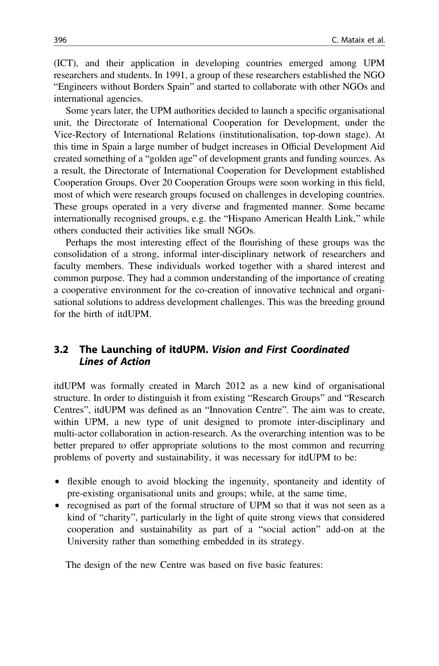(ICT), and their application in developing countries emerged among UPM researchers and students. In 1991, a group of these researchers established the NGO "Engineers without Borders Spain" and started to collaborate with other NGOs and international agencies.

Some years later, the UPM authorities decided to launch a specific organisational unit, the Directorate of International Cooperation for Development, under the Vice-Rectory of International Relations (institutionalisation, top-down stage). At this time in Spain a large number of budget increases in Official Development Aid created something of a "golden age" of development grants and funding sources. As a result, the Directorate of International Cooperation for Development established Cooperation Groups. Over 20 Cooperation Groups were soon working in this field, most of which were research groups focused on challenges in developing countries. These groups operated in a very diverse and fragmented manner. Some became internationally recognised groups, e.g. the "Hispano American Health Link," while others conducted their activities like small NGOs.

Perhaps the most interesting effect of the flourishing of these groups was the consolidation of a strong, informal inter-disciplinary network of researchers and faculty members. These individuals worked together with a shared interest and common purpose. They had a common understanding of the importance of creating a cooperative environment for the co-creation of innovative technical and organisational solutions to address development challenges. This was the breeding ground for the birth of itdUPM.

# 3.2 The Launching of itdUPM. Vision and First Coordinated Lines of Action

itdUPM was formally created in March 2012 as a new kind of organisational structure. In order to distinguish it from existing "Research Groups" and "Research Centres", itdUPM was defined as an "Innovation Centre". The aim was to create, within UPM, a new type of unit designed to promote inter-disciplinary and multi-actor collaboration in action-research. As the overarching intention was to be better prepared to offer appropriate solutions to the most common and recurring problems of poverty and sustainability, it was necessary for itdUPM to be:

- flexible enough to avoid blocking the ingenuity, spontaneity and identity of pre-existing organisational units and groups; while, at the same time,
- recognised as part of the formal structure of UPM so that it was not seen as a kind of "charity", particularly in the light of quite strong views that considered cooperation and sustainability as part of a "social action" add-on at the University rather than something embedded in its strategy.

The design of the new Centre was based on five basic features: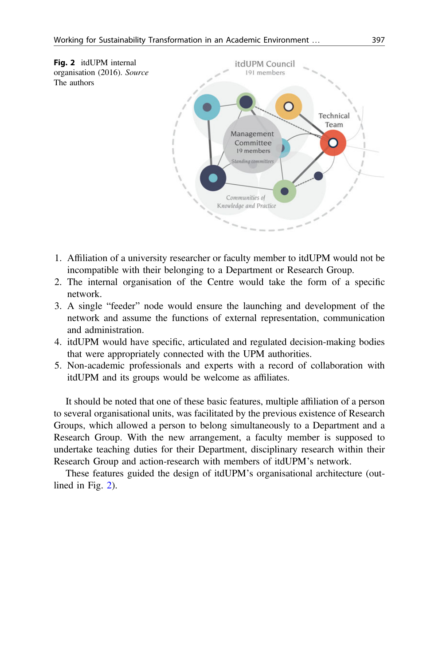<span id="page-6-0"></span>

- 1. Affiliation of a university researcher or faculty member to itdUPM would not be incompatible with their belonging to a Department or Research Group.
- 2. The internal organisation of the Centre would take the form of a specific network.
- 3. A single "feeder" node would ensure the launching and development of the network and assume the functions of external representation, communication and administration.
- 4. itdUPM would have specific, articulated and regulated decision-making bodies that were appropriately connected with the UPM authorities.
- 5. Non-academic professionals and experts with a record of collaboration with itdUPM and its groups would be welcome as affiliates.

It should be noted that one of these basic features, multiple affiliation of a person to several organisational units, was facilitated by the previous existence of Research Groups, which allowed a person to belong simultaneously to a Department and a Research Group. With the new arrangement, a faculty member is supposed to undertake teaching duties for their Department, disciplinary research within their Research Group and action-research with members of itdUPM's network.

These features guided the design of itdUPM's organisational architecture (outlined in Fig. 2).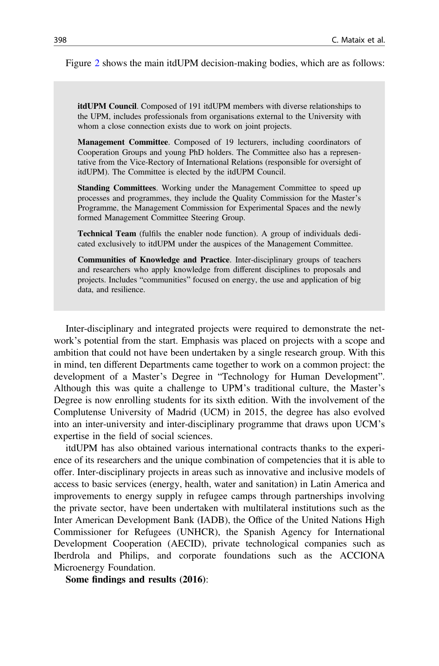#### Figure [2](#page-6-0) shows the main itdUPM decision-making bodies, which are as follows:

itdUPM Council. Composed of 191 itdUPM members with diverse relationships to the UPM, includes professionals from organisations external to the University with whom a close connection exists due to work on joint projects.

Management Committee. Composed of 19 lecturers, including coordinators of Cooperation Groups and young PhD holders. The Committee also has a representative from the Vice-Rectory of International Relations (responsible for oversight of itdUPM). The Committee is elected by the itdUPM Council.

Standing Committees. Working under the Management Committee to speed up processes and programmes, they include the Quality Commission for the Master's Programme, the Management Commission for Experimental Spaces and the newly formed Management Committee Steering Group.

Technical Team (fulfils the enabler node function). A group of individuals dedicated exclusively to itdUPM under the auspices of the Management Committee.

Communities of Knowledge and Practice. Inter-disciplinary groups of teachers and researchers who apply knowledge from different disciplines to proposals and projects. Includes "communities" focused on energy, the use and application of big data, and resilience.

Inter-disciplinary and integrated projects were required to demonstrate the network's potential from the start. Emphasis was placed on projects with a scope and ambition that could not have been undertaken by a single research group. With this in mind, ten different Departments came together to work on a common project: the development of a Master's Degree in "Technology for Human Development". Although this was quite a challenge to UPM's traditional culture, the Master's Degree is now enrolling students for its sixth edition. With the involvement of the Complutense University of Madrid (UCM) in 2015, the degree has also evolved into an inter-university and inter-disciplinary programme that draws upon UCM's expertise in the field of social sciences.

itdUPM has also obtained various international contracts thanks to the experience of its researchers and the unique combination of competencies that it is able to offer. Inter-disciplinary projects in areas such as innovative and inclusive models of access to basic services (energy, health, water and sanitation) in Latin America and improvements to energy supply in refugee camps through partnerships involving the private sector, have been undertaken with multilateral institutions such as the Inter American Development Bank (IADB), the Office of the United Nations High Commissioner for Refugees (UNHCR), the Spanish Agency for International Development Cooperation (AECID), private technological companies such as Iberdrola and Philips, and corporate foundations such as the ACCIONA Microenergy Foundation.

Some findings and results (2016):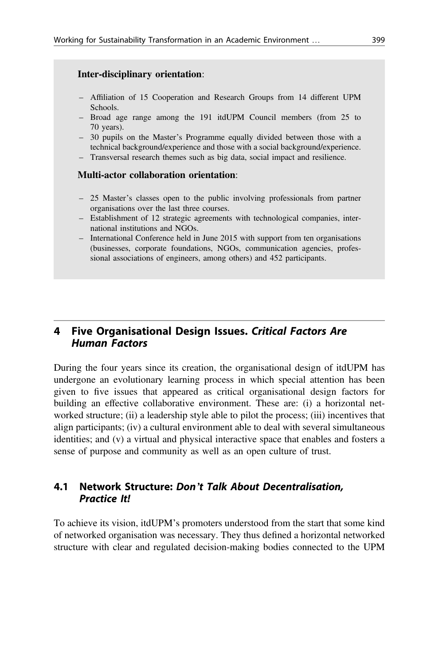#### Inter-disciplinary orientation:

- Affiliation of 15 Cooperation and Research Groups from 14 different UPM Schools.
- Broad age range among the 191 itdUPM Council members (from 25 to 70 years).
- 30 pupils on the Master's Programme equally divided between those with a technical background/experience and those with a social background/experience.
- Transversal research themes such as big data, social impact and resilience.

#### Multi-actor collaboration orientation:

- 25 Master's classes open to the public involving professionals from partner organisations over the last three courses.
- Establishment of 12 strategic agreements with technological companies, international institutions and NGOs.
- International Conference held in June 2015 with support from ten organisations (businesses, corporate foundations, NGOs, communication agencies, professional associations of engineers, among others) and 452 participants.

## 4 Five Organisational Design Issues. Critical Factors Are Human Factors

During the four years since its creation, the organisational design of itdUPM has undergone an evolutionary learning process in which special attention has been given to five issues that appeared as critical organisational design factors for building an effective collaborative environment. These are: (i) a horizontal networked structure; (ii) a leadership style able to pilot the process; (iii) incentives that align participants; (iv) a cultural environment able to deal with several simultaneous identities; and (v) a virtual and physical interactive space that enables and fosters a sense of purpose and community as well as an open culture of trust.

# 4.1 Network Structure: Don't Talk About Decentralisation, Practice It!

To achieve its vision, itdUPM's promoters understood from the start that some kind of networked organisation was necessary. They thus defined a horizontal networked structure with clear and regulated decision-making bodies connected to the UPM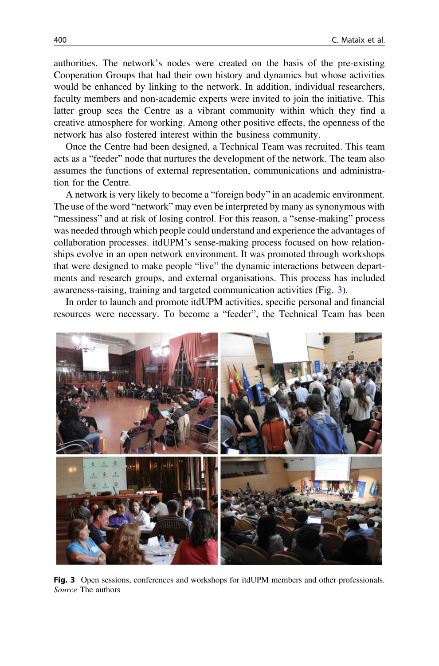authorities. The network's nodes were created on the basis of the pre-existing Cooperation Groups that had their own history and dynamics but whose activities would be enhanced by linking to the network. In addition, individual researchers, faculty members and non-academic experts were invited to join the initiative. This latter group sees the Centre as a vibrant community within which they find a creative atmosphere for working. Among other positive effects, the openness of the network has also fostered interest within the business community.

Once the Centre had been designed, a Technical Team was recruited. This team acts as a "feeder" node that nurtures the development of the network. The team also assumes the functions of external representation, communications and administration for the Centre.

A network is very likely to become a "foreign body" in an academic environment. The use of the word "network" may even be interpreted by many as synonymous with "messiness" and at risk of losing control. For this reason, a "sense-making" process was needed through which people could understand and experience the advantages of collaboration processes. itdUPM's sense-making process focused on how relationships evolve in an open network environment. It was promoted through workshops that were designed to make people "live" the dynamic interactions between departments and research groups, and external organisations. This process has included awareness-raising, training and targeted communication activities (Fig. 3).

In order to launch and promote itdUPM activities, specific personal and financial resources were necessary. To become a "feeder", the Technical Team has been



Fig. 3 Open sessions, conferences and workshops for itdUPM members and other professionals. Source The authors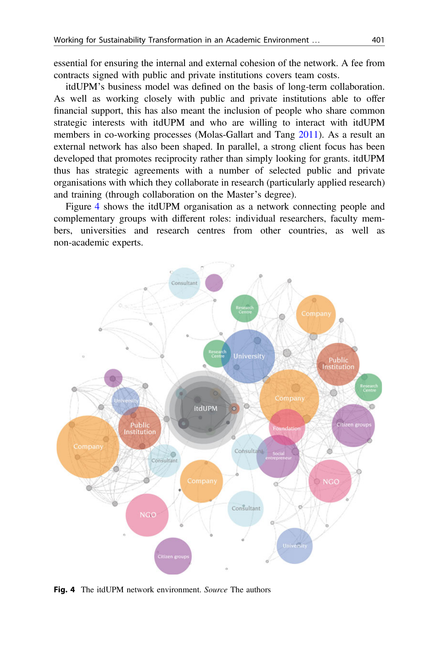essential for ensuring the internal and external cohesion of the network. A fee from contracts signed with public and private institutions covers team costs.

itdUPM's business model was defined on the basis of long-term collaboration. As well as working closely with public and private institutions able to offer financial support, this has also meant the inclusion of people who share common strategic interests with itdUPM and who are willing to interact with itdUPM members in co-working processes (Molas-Gallart and Tang [2011](#page-17-0)). As a result an external network has also been shaped. In parallel, a strong client focus has been developed that promotes reciprocity rather than simply looking for grants. itdUPM thus has strategic agreements with a number of selected public and private organisations with which they collaborate in research (particularly applied research) and training (through collaboration on the Master's degree).

Figure 4 shows the itdUPM organisation as a network connecting people and complementary groups with different roles: individual researchers, faculty members, universities and research centres from other countries, as well as non-academic experts.



Fig. 4 The itdUPM network environment. Source The authors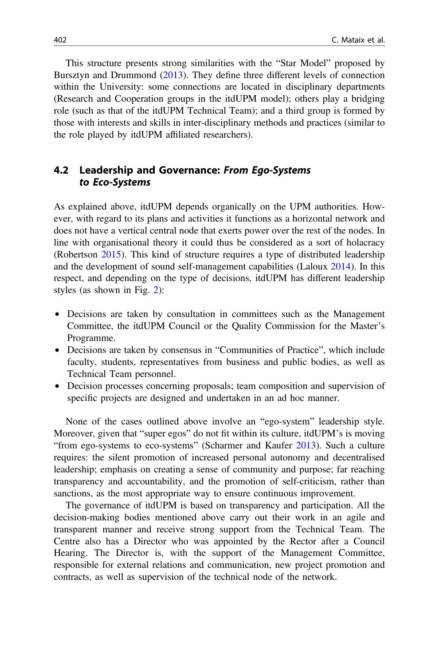This structure presents strong similarities with the "Star Model" proposed by Bursztyn and Drummond [\(2013](#page-17-0)). They define three different levels of connection within the University: some connections are located in disciplinary departments (Research and Cooperation groups in the itdUPM model); others play a bridging role (such as that of the itdUPM Technical Team); and a third group is formed by those with interests and skills in inter-disciplinary methods and practices (similar to the role played by itdUPM affiliated researchers).

## 4.2 Leadership and Governance: From Ego-Systems to Eco-Systems

As explained above, itdUPM depends organically on the UPM authorities. However, with regard to its plans and activities it functions as a horizontal network and does not have a vertical central node that exerts power over the rest of the nodes. In line with organisational theory it could thus be considered as a sort of holacracy (Robertson [2015](#page-17-0)). This kind of structure requires a type of distributed leadership and the development of sound self-management capabilities (Laloux [2014](#page-17-0)). In this respect, and depending on the type of decisions, itdUPM has different leadership styles (as shown in Fig. [2\)](#page-6-0):

- Decisions are taken by consultation in committees such as the Management Committee, the itdUPM Council or the Quality Commission for the Master's Programme.
- Decisions are taken by consensus in "Communities of Practice", which include faculty, students, representatives from business and public bodies, as well as Technical Team personnel.
- Decision processes concerning proposals; team composition and supervision of specific projects are designed and undertaken in an ad hoc manner.

None of the cases outlined above involve an "ego-system" leadership style. Moreover, given that "super egos" do not fit within its culture, itdUPM's is moving "from ego-systems to eco-systems" (Scharmer and Kaufer [2013\)](#page-17-0). Such a culture requires: the silent promotion of increased personal autonomy and decentralised leadership; emphasis on creating a sense of community and purpose; far reaching transparency and accountability, and the promotion of self-criticism, rather than sanctions, as the most appropriate way to ensure continuous improvement.

The governance of itdUPM is based on transparency and participation. All the decision-making bodies mentioned above carry out their work in an agile and transparent manner and receive strong support from the Technical Team. The Centre also has a Director who was appointed by the Rector after a Council Hearing. The Director is, with the support of the Management Committee, responsible for external relations and communication, new project promotion and contracts, as well as supervision of the technical node of the network.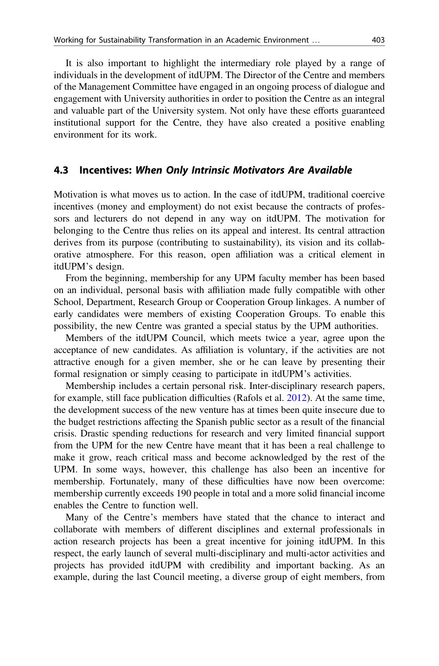It is also important to highlight the intermediary role played by a range of individuals in the development of itdUPM. The Director of the Centre and members of the Management Committee have engaged in an ongoing process of dialogue and engagement with University authorities in order to position the Centre as an integral and valuable part of the University system. Not only have these efforts guaranteed institutional support for the Centre, they have also created a positive enabling environment for its work.

## 4.3 Incentives: When Only Intrinsic Motivators Are Available

Motivation is what moves us to action. In the case of itdUPM, traditional coercive incentives (money and employment) do not exist because the contracts of professors and lecturers do not depend in any way on itdUPM. The motivation for belonging to the Centre thus relies on its appeal and interest. Its central attraction derives from its purpose (contributing to sustainability), its vision and its collaborative atmosphere. For this reason, open affiliation was a critical element in itdUPM's design.

From the beginning, membership for any UPM faculty member has been based on an individual, personal basis with affiliation made fully compatible with other School, Department, Research Group or Cooperation Group linkages. A number of early candidates were members of existing Cooperation Groups. To enable this possibility, the new Centre was granted a special status by the UPM authorities.

Members of the itdUPM Council, which meets twice a year, agree upon the acceptance of new candidates. As affiliation is voluntary, if the activities are not attractive enough for a given member, she or he can leave by presenting their formal resignation or simply ceasing to participate in itdUPM's activities.

Membership includes a certain personal risk. Inter-disciplinary research papers, for example, still face publication difficulties (Rafols et al. [2012](#page-17-0)). At the same time, the development success of the new venture has at times been quite insecure due to the budget restrictions affecting the Spanish public sector as a result of the financial crisis. Drastic spending reductions for research and very limited financial support from the UPM for the new Centre have meant that it has been a real challenge to make it grow, reach critical mass and become acknowledged by the rest of the UPM. In some ways, however, this challenge has also been an incentive for membership. Fortunately, many of these difficulties have now been overcome: membership currently exceeds 190 people in total and a more solid financial income enables the Centre to function well.

Many of the Centre's members have stated that the chance to interact and collaborate with members of different disciplines and external professionals in action research projects has been a great incentive for joining itdUPM. In this respect, the early launch of several multi-disciplinary and multi-actor activities and projects has provided itdUPM with credibility and important backing. As an example, during the last Council meeting, a diverse group of eight members, from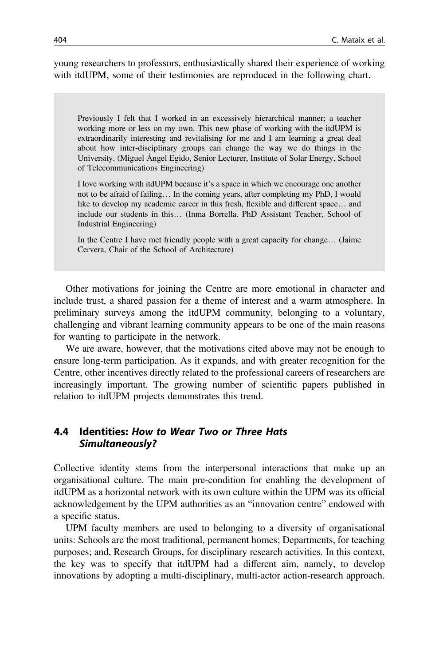young researchers to professors, enthusiastically shared their experience of working with itdUPM, some of their testimonies are reproduced in the following chart.

Previously I felt that I worked in an excessively hierarchical manner; a teacher working more or less on my own. This new phase of working with the itdUPM is extraordinarily interesting and revitalising for me and I am learning a great deal about how inter-disciplinary groups can change the way we do things in the University. (Miguel Ángel Egido, Senior Lecturer, Institute of Solar Energy, School of Telecommunications Engineering)

I love working with itdUPM because it's a space in which we encourage one another not to be afraid of failing… In the coming years, after completing my PhD, I would like to develop my academic career in this fresh, flexible and different space… and include our students in this… (Inma Borrella. PhD Assistant Teacher, School of Industrial Engineering)

In the Centre I have met friendly people with a great capacity for change… (Jaime Cervera, Chair of the School of Architecture)

Other motivations for joining the Centre are more emotional in character and include trust, a shared passion for a theme of interest and a warm atmosphere. In preliminary surveys among the itdUPM community, belonging to a voluntary, challenging and vibrant learning community appears to be one of the main reasons for wanting to participate in the network.

We are aware, however, that the motivations cited above may not be enough to ensure long-term participation. As it expands, and with greater recognition for the Centre, other incentives directly related to the professional careers of researchers are increasingly important. The growing number of scientific papers published in relation to itdUPM projects demonstrates this trend.

# 4.4 Identities: How to Wear Two or Three Hats Simultaneously?

Collective identity stems from the interpersonal interactions that make up an organisational culture. The main pre-condition for enabling the development of itdUPM as a horizontal network with its own culture within the UPM was its official acknowledgement by the UPM authorities as an "innovation centre" endowed with a specific status.

UPM faculty members are used to belonging to a diversity of organisational units: Schools are the most traditional, permanent homes; Departments, for teaching purposes; and, Research Groups, for disciplinary research activities. In this context, the key was to specify that itdUPM had a different aim, namely, to develop innovations by adopting a multi-disciplinary, multi-actor action-research approach.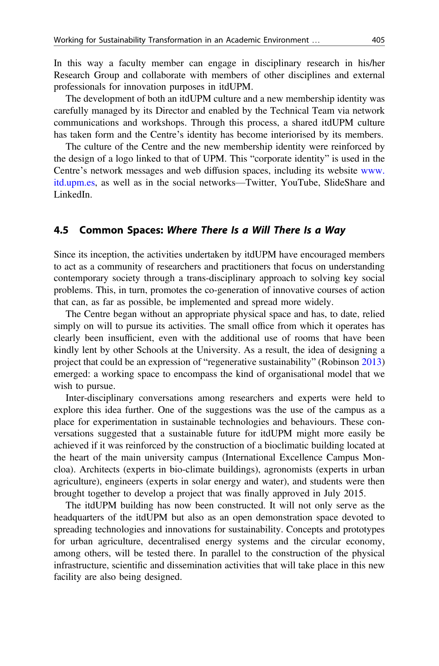In this way a faculty member can engage in disciplinary research in his/her Research Group and collaborate with members of other disciplines and external professionals for innovation purposes in itdUPM.

The development of both an itdUPM culture and a new membership identity was carefully managed by its Director and enabled by the Technical Team via network communications and workshops. Through this process, a shared itdUPM culture has taken form and the Centre's identity has become interiorised by its members.

The culture of the Centre and the new membership identity were reinforced by the design of a logo linked to that of UPM. This "corporate identity" is used in the Centre's network messages and web diffusion spaces, including its website [www.](http://www.itd.upm.es) [itd.upm.es](http://www.itd.upm.es), as well as in the social networks—Twitter, YouTube, SlideShare and LinkedIn.

## 4.5 Common Spaces: Where There Is a Will There Is a Way

Since its inception, the activities undertaken by itdUPM have encouraged members to act as a community of researchers and practitioners that focus on understanding contemporary society through a trans-disciplinary approach to solving key social problems. This, in turn, promotes the co-generation of innovative courses of action that can, as far as possible, be implemented and spread more widely.

The Centre began without an appropriate physical space and has, to date, relied simply on will to pursue its activities. The small office from which it operates has clearly been insufficient, even with the additional use of rooms that have been kindly lent by other Schools at the University. As a result, the idea of designing a project that could be an expression of "regenerative sustainability" (Robinson [2013](#page-17-0)) emerged: a working space to encompass the kind of organisational model that we wish to pursue.

Inter-disciplinary conversations among researchers and experts were held to explore this idea further. One of the suggestions was the use of the campus as a place for experimentation in sustainable technologies and behaviours. These conversations suggested that a sustainable future for itdUPM might more easily be achieved if it was reinforced by the construction of a bioclimatic building located at the heart of the main university campus (International Excellence Campus Moncloa). Architects (experts in bio-climate buildings), agronomists (experts in urban agriculture), engineers (experts in solar energy and water), and students were then brought together to develop a project that was finally approved in July 2015.

The itdUPM building has now been constructed. It will not only serve as the headquarters of the itdUPM but also as an open demonstration space devoted to spreading technologies and innovations for sustainability. Concepts and prototypes for urban agriculture, decentralised energy systems and the circular economy, among others, will be tested there. In parallel to the construction of the physical infrastructure, scientific and dissemination activities that will take place in this new facility are also being designed.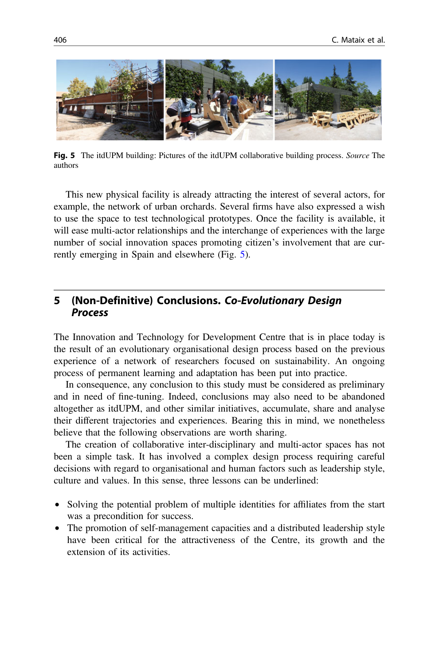

Fig. 5 The itdUPM building: Pictures of the itdUPM collaborative building process. Source The authors

This new physical facility is already attracting the interest of several actors, for example, the network of urban orchards. Several firms have also expressed a wish to use the space to test technological prototypes. Once the facility is available, it will ease multi-actor relationships and the interchange of experiences with the large number of social innovation spaces promoting citizen's involvement that are currently emerging in Spain and elsewhere (Fig. 5).

# 5 (Non-Definitive) Conclusions. Co-Evolutionary Design Process

The Innovation and Technology for Development Centre that is in place today is the result of an evolutionary organisational design process based on the previous experience of a network of researchers focused on sustainability. An ongoing process of permanent learning and adaptation has been put into practice.

In consequence, any conclusion to this study must be considered as preliminary and in need of fine-tuning. Indeed, conclusions may also need to be abandoned altogether as itdUPM, and other similar initiatives, accumulate, share and analyse their different trajectories and experiences. Bearing this in mind, we nonetheless believe that the following observations are worth sharing.

The creation of collaborative inter-disciplinary and multi-actor spaces has not been a simple task. It has involved a complex design process requiring careful decisions with regard to organisational and human factors such as leadership style, culture and values. In this sense, three lessons can be underlined:

- Solving the potential problem of multiple identities for affiliates from the start was a precondition for success.
- The promotion of self-management capacities and a distributed leadership style have been critical for the attractiveness of the Centre, its growth and the extension of its activities.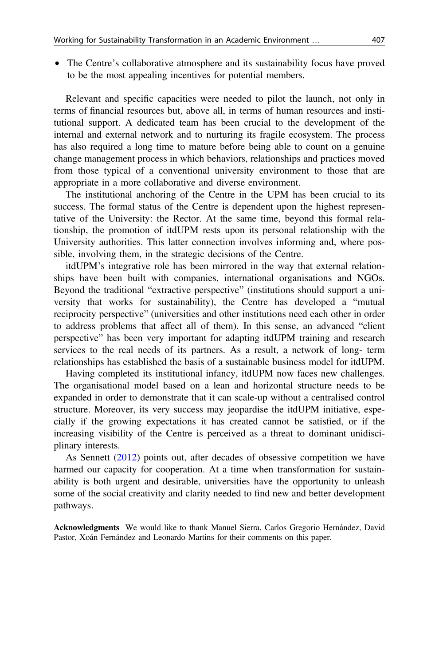• The Centre's collaborative atmosphere and its sustainability focus have proved to be the most appealing incentives for potential members.

Relevant and specific capacities were needed to pilot the launch, not only in terms of financial resources but, above all, in terms of human resources and institutional support. A dedicated team has been crucial to the development of the internal and external network and to nurturing its fragile ecosystem. The process has also required a long time to mature before being able to count on a genuine change management process in which behaviors, relationships and practices moved from those typical of a conventional university environment to those that are appropriate in a more collaborative and diverse environment.

The institutional anchoring of the Centre in the UPM has been crucial to its success. The formal status of the Centre is dependent upon the highest representative of the University: the Rector. At the same time, beyond this formal relationship, the promotion of itdUPM rests upon its personal relationship with the University authorities. This latter connection involves informing and, where possible, involving them, in the strategic decisions of the Centre.

itdUPM's integrative role has been mirrored in the way that external relationships have been built with companies, international organisations and NGOs. Beyond the traditional "extractive perspective" (institutions should support a university that works for sustainability), the Centre has developed a "mutual reciprocity perspective" (universities and other institutions need each other in order to address problems that affect all of them). In this sense, an advanced "client perspective" has been very important for adapting itdUPM training and research services to the real needs of its partners. As a result, a network of long- term relationships has established the basis of a sustainable business model for itdUPM.

Having completed its institutional infancy, itdUPM now faces new challenges. The organisational model based on a lean and horizontal structure needs to be expanded in order to demonstrate that it can scale-up without a centralised control structure. Moreover, its very success may jeopardise the itdUPM initiative, especially if the growing expectations it has created cannot be satisfied, or if the increasing visibility of the Centre is perceived as a threat to dominant unidisciplinary interests.

As Sennett [\(2012](#page-17-0)) points out, after decades of obsessive competition we have harmed our capacity for cooperation. At a time when transformation for sustainability is both urgent and desirable, universities have the opportunity to unleash some of the social creativity and clarity needed to find new and better development pathways.

Acknowledgments We would like to thank Manuel Sierra, Carlos Gregorio Hernández, David Pastor, Xoán Fernández and Leonardo Martins for their comments on this paper.